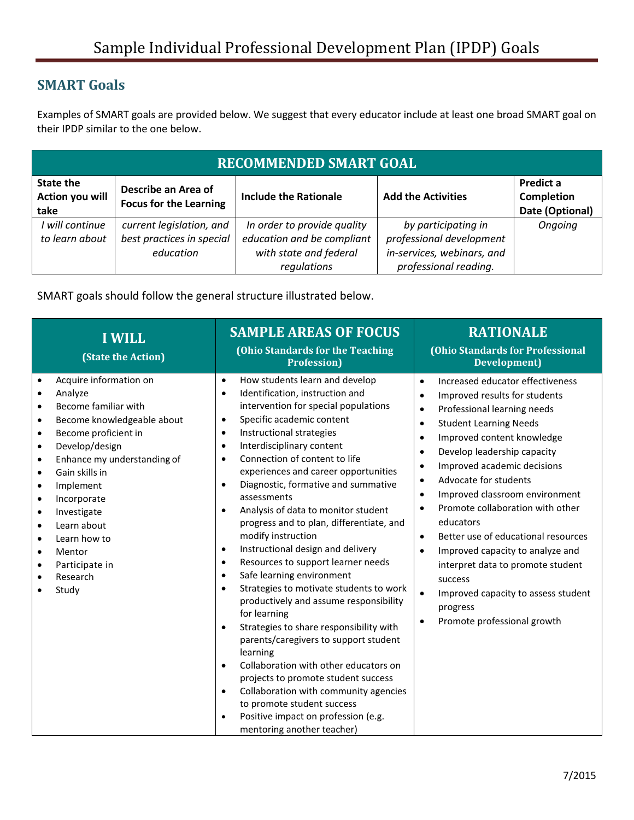## **SMART Goals**

Examples of SMART goals are provided below. We suggest that every educator include at least one broad SMART goal on their IPDP similar to the one below.

| <b>RECOMMENDED SMART GOAL</b>        |                                                      |                              |                            |                                                   |  |
|--------------------------------------|------------------------------------------------------|------------------------------|----------------------------|---------------------------------------------------|--|
| State the<br>Action you will<br>take | Describe an Area of<br><b>Focus for the Learning</b> | <b>Include the Rationale</b> | <b>Add the Activities</b>  | Predict a<br><b>Completion</b><br>Date (Optional) |  |
| I will continue                      | current legislation, and                             | In order to provide quality  | by participating in        | Ongoing                                           |  |
| to learn about                       | best practices in special                            | education and be compliant   | professional development   |                                                   |  |
|                                      | education                                            | with state and federal       | in-services, webinars, and |                                                   |  |
|                                      |                                                      | regulations                  | professional reading.      |                                                   |  |

SMART goals should follow the general structure illustrated below.

| <b>I WILL</b><br>(State the Action)                                                                                                                                                                                                                                                                                                                                                                                                                                                                              | <b>SAMPLE AREAS OF FOCUS</b><br>(Ohio Standards for the Teaching<br><b>Profession</b> )                                                                                                                                                                                                                                                                                                                                                                                                                                                                                                                                                                                                                                                                                                                                                                                                                                                                                                                                                                                                                                                                                                          | <b>RATIONALE</b><br>(Ohio Standards for Professional<br><b>Development</b> )                                                                                                                                                                                                                                                                                                                                                                                                                                                                                                                                                                                                                                                                 |
|------------------------------------------------------------------------------------------------------------------------------------------------------------------------------------------------------------------------------------------------------------------------------------------------------------------------------------------------------------------------------------------------------------------------------------------------------------------------------------------------------------------|--------------------------------------------------------------------------------------------------------------------------------------------------------------------------------------------------------------------------------------------------------------------------------------------------------------------------------------------------------------------------------------------------------------------------------------------------------------------------------------------------------------------------------------------------------------------------------------------------------------------------------------------------------------------------------------------------------------------------------------------------------------------------------------------------------------------------------------------------------------------------------------------------------------------------------------------------------------------------------------------------------------------------------------------------------------------------------------------------------------------------------------------------------------------------------------------------|----------------------------------------------------------------------------------------------------------------------------------------------------------------------------------------------------------------------------------------------------------------------------------------------------------------------------------------------------------------------------------------------------------------------------------------------------------------------------------------------------------------------------------------------------------------------------------------------------------------------------------------------------------------------------------------------------------------------------------------------|
| Acquire information on<br>$\bullet$<br>Analyze<br>$\bullet$<br>Become familiar with<br>$\bullet$<br>Become knowledgeable about<br>$\bullet$<br>Become proficient in<br>$\bullet$<br>Develop/design<br>$\bullet$<br>Enhance my understanding of<br>$\bullet$<br>Gain skills in<br>$\bullet$<br>Implement<br>$\bullet$<br>Incorporate<br>$\bullet$<br>Investigate<br>$\bullet$<br>Learn about<br>$\bullet$<br>Learn how to<br>$\bullet$<br>Mentor<br>$\bullet$<br>Participate in<br>$\bullet$<br>Research<br>Study | How students learn and develop<br>$\bullet$<br>Identification, instruction and<br>$\bullet$<br>intervention for special populations<br>Specific academic content<br>$\bullet$<br>Instructional strategies<br>$\bullet$<br>Interdisciplinary content<br>$\bullet$<br>Connection of content to life<br>$\bullet$<br>experiences and career opportunities<br>Diagnostic, formative and summative<br>$\bullet$<br>assessments<br>Analysis of data to monitor student<br>$\bullet$<br>progress and to plan, differentiate, and<br>modify instruction<br>Instructional design and delivery<br>$\bullet$<br>Resources to support learner needs<br>$\bullet$<br>Safe learning environment<br>$\bullet$<br>Strategies to motivate students to work<br>$\bullet$<br>productively and assume responsibility<br>for learning<br>Strategies to share responsibility with<br>$\bullet$<br>parents/caregivers to support student<br>learning<br>Collaboration with other educators on<br>$\bullet$<br>projects to promote student success<br>Collaboration with community agencies<br>$\bullet$<br>to promote student success<br>Positive impact on profession (e.g.<br>$\bullet$<br>mentoring another teacher) | Increased educator effectiveness<br>$\bullet$<br>Improved results for students<br>$\bullet$<br>Professional learning needs<br>$\bullet$<br><b>Student Learning Needs</b><br>$\bullet$<br>Improved content knowledge<br>$\bullet$<br>Develop leadership capacity<br>$\bullet$<br>Improved academic decisions<br>$\bullet$<br>Advocate for students<br>$\bullet$<br>Improved classroom environment<br>$\bullet$<br>Promote collaboration with other<br>$\bullet$<br>educators<br>Better use of educational resources<br>$\bullet$<br>Improved capacity to analyze and<br>$\bullet$<br>interpret data to promote student<br>success<br>Improved capacity to assess student<br>$\bullet$<br>progress<br>Promote professional growth<br>$\bullet$ |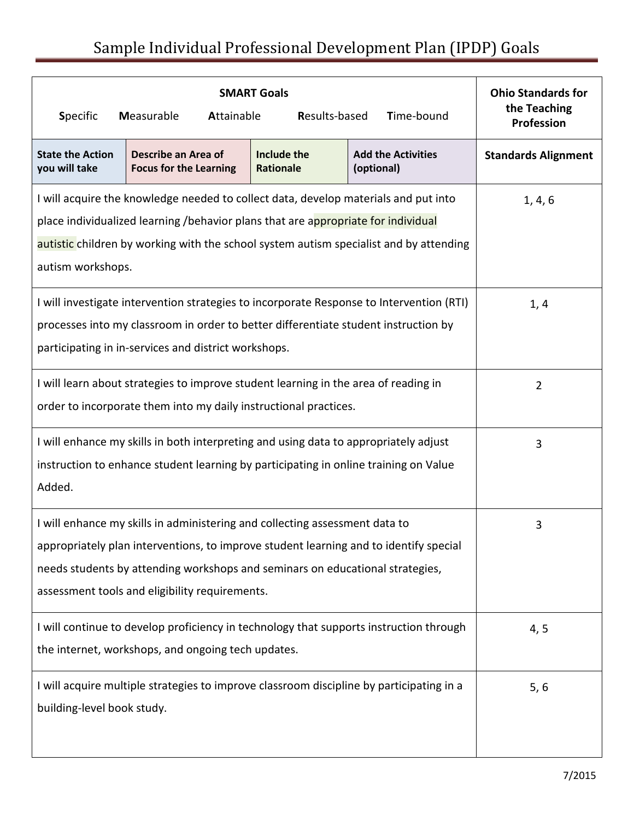## Sample Individual Professional Development Plan (IPDP) Goals

| <b>SMART Goals</b><br><b>Specific</b><br>Measurable<br>Results-based<br>Time-bound<br>Attainable                                                                                                                                                                                                        |                                                      |                                 |                                         | <b>Ohio Standards for</b><br>the Teaching<br>Profession |
|---------------------------------------------------------------------------------------------------------------------------------------------------------------------------------------------------------------------------------------------------------------------------------------------------------|------------------------------------------------------|---------------------------------|-----------------------------------------|---------------------------------------------------------|
| <b>State the Action</b><br>you will take                                                                                                                                                                                                                                                                | Describe an Area of<br><b>Focus for the Learning</b> | Include the<br><b>Rationale</b> | <b>Add the Activities</b><br>(optional) | <b>Standards Alignment</b>                              |
| I will acquire the knowledge needed to collect data, develop materials and put into<br>place individualized learning /behavior plans that are appropriate for individual<br>autistic children by working with the school system autism specialist and by attending<br>autism workshops.                 | 1, 4, 6                                              |                                 |                                         |                                                         |
| I will investigate intervention strategies to incorporate Response to Intervention (RTI)<br>processes into my classroom in order to better differentiate student instruction by<br>participating in in-services and district workshops.                                                                 |                                                      |                                 |                                         | 1, 4                                                    |
| I will learn about strategies to improve student learning in the area of reading in<br>order to incorporate them into my daily instructional practices.                                                                                                                                                 | $\overline{2}$                                       |                                 |                                         |                                                         |
| I will enhance my skills in both interpreting and using data to appropriately adjust<br>instruction to enhance student learning by participating in online training on Value<br>Added.                                                                                                                  |                                                      |                                 |                                         | 3                                                       |
| I will enhance my skills in administering and collecting assessment data to<br>appropriately plan interventions, to improve student learning and to identify special<br>needs students by attending workshops and seminars on educational strategies,<br>assessment tools and eligibility requirements. | 3                                                    |                                 |                                         |                                                         |
| I will continue to develop proficiency in technology that supports instruction through<br>the internet, workshops, and ongoing tech updates.                                                                                                                                                            | 4, 5                                                 |                                 |                                         |                                                         |
| I will acquire multiple strategies to improve classroom discipline by participating in a<br>building-level book study.                                                                                                                                                                                  | 5, 6                                                 |                                 |                                         |                                                         |